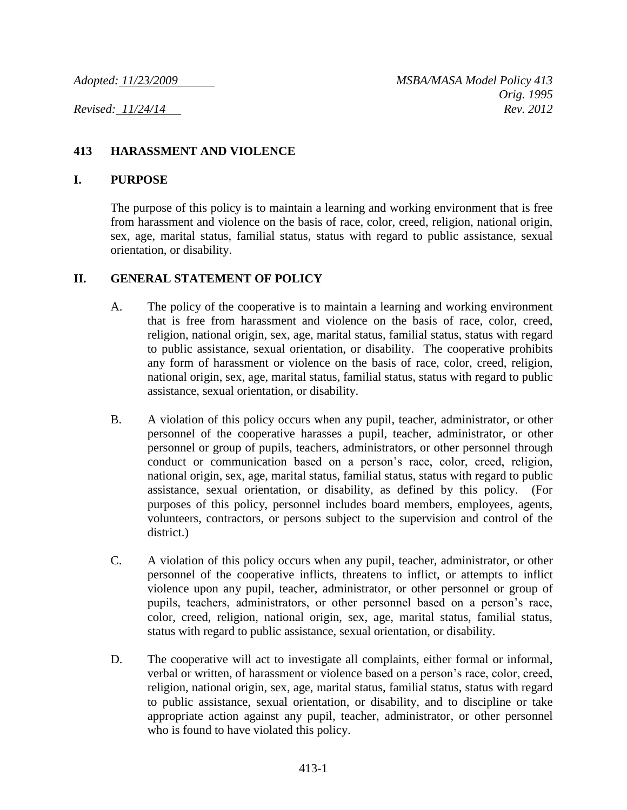### **413 HARASSMENT AND VIOLENCE**

#### **I. PURPOSE**

The purpose of this policy is to maintain a learning and working environment that is free from harassment and violence on the basis of race, color, creed, religion, national origin, sex, age, marital status, familial status, status with regard to public assistance, sexual orientation, or disability.

### **II. GENERAL STATEMENT OF POLICY**

- A. The policy of the cooperative is to maintain a learning and working environment that is free from harassment and violence on the basis of race, color, creed, religion, national origin, sex, age, marital status, familial status, status with regard to public assistance, sexual orientation, or disability. The cooperative prohibits any form of harassment or violence on the basis of race, color, creed, religion, national origin, sex, age, marital status, familial status, status with regard to public assistance, sexual orientation, or disability.
- B. A violation of this policy occurs when any pupil, teacher, administrator, or other personnel of the cooperative harasses a pupil, teacher, administrator, or other personnel or group of pupils, teachers, administrators, or other personnel through conduct or communication based on a person's race, color, creed, religion, national origin, sex, age, marital status, familial status, status with regard to public assistance, sexual orientation, or disability, as defined by this policy. (For purposes of this policy, personnel includes board members, employees, agents, volunteers, contractors, or persons subject to the supervision and control of the district.)
- C. A violation of this policy occurs when any pupil, teacher, administrator, or other personnel of the cooperative inflicts, threatens to inflict, or attempts to inflict violence upon any pupil, teacher, administrator, or other personnel or group of pupils, teachers, administrators, or other personnel based on a person's race, color, creed, religion, national origin, sex, age, marital status, familial status, status with regard to public assistance, sexual orientation, or disability.
- D. The cooperative will act to investigate all complaints, either formal or informal, verbal or written, of harassment or violence based on a person's race, color, creed, religion, national origin, sex, age, marital status, familial status, status with regard to public assistance, sexual orientation, or disability, and to discipline or take appropriate action against any pupil, teacher, administrator, or other personnel who is found to have violated this policy.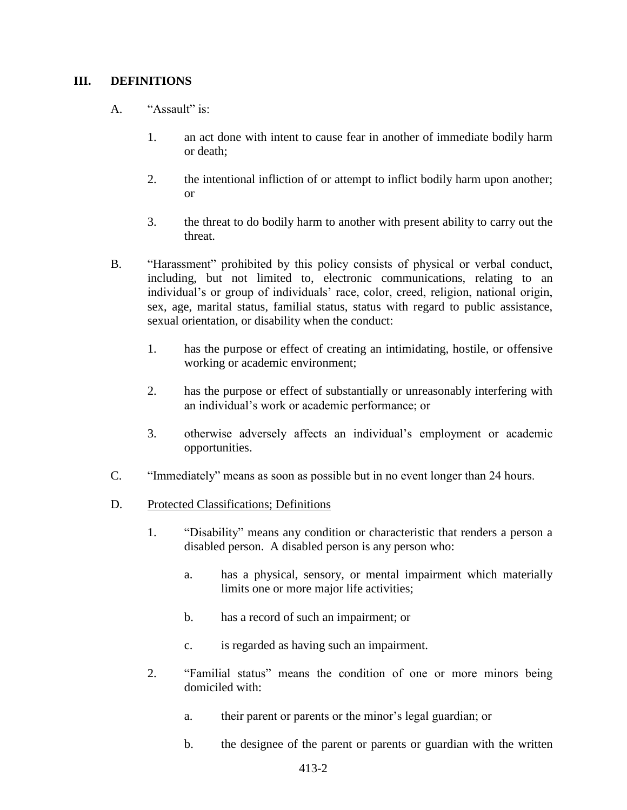### **III. DEFINITIONS**

- A. "Assault" is:
	- 1. an act done with intent to cause fear in another of immediate bodily harm or death;
	- 2. the intentional infliction of or attempt to inflict bodily harm upon another; or
	- 3. the threat to do bodily harm to another with present ability to carry out the threat.
- B. "Harassment" prohibited by this policy consists of physical or verbal conduct, including, but not limited to, electronic communications, relating to an individual's or group of individuals' race, color, creed, religion, national origin, sex, age, marital status, familial status, status with regard to public assistance, sexual orientation, or disability when the conduct:
	- 1. has the purpose or effect of creating an intimidating, hostile, or offensive working or academic environment;
	- 2. has the purpose or effect of substantially or unreasonably interfering with an individual's work or academic performance; or
	- 3. otherwise adversely affects an individual's employment or academic opportunities.
- C. "Immediately" means as soon as possible but in no event longer than 24 hours.
- D. Protected Classifications; Definitions
	- 1. "Disability" means any condition or characteristic that renders a person a disabled person. A disabled person is any person who:
		- a. has a physical, sensory, or mental impairment which materially limits one or more major life activities;
		- b. has a record of such an impairment; or
		- c. is regarded as having such an impairment.
	- 2. "Familial status" means the condition of one or more minors being domiciled with:
		- a. their parent or parents or the minor's legal guardian; or
		- b. the designee of the parent or parents or guardian with the written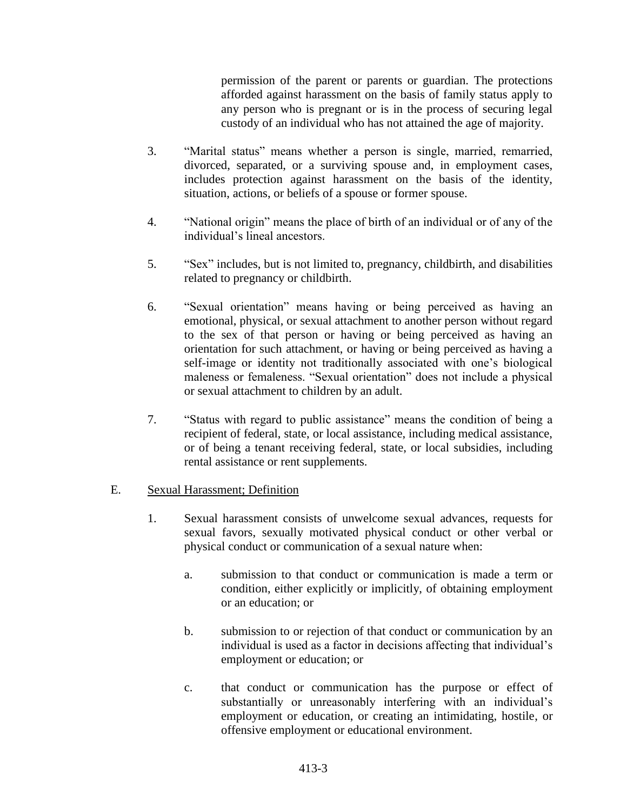permission of the parent or parents or guardian. The protections afforded against harassment on the basis of family status apply to any person who is pregnant or is in the process of securing legal custody of an individual who has not attained the age of majority.

- 3. "Marital status" means whether a person is single, married, remarried, divorced, separated, or a surviving spouse and, in employment cases, includes protection against harassment on the basis of the identity, situation, actions, or beliefs of a spouse or former spouse.
- 4. "National origin" means the place of birth of an individual or of any of the individual's lineal ancestors.
- 5. "Sex" includes, but is not limited to, pregnancy, childbirth, and disabilities related to pregnancy or childbirth.
- 6. "Sexual orientation" means having or being perceived as having an emotional, physical, or sexual attachment to another person without regard to the sex of that person or having or being perceived as having an orientation for such attachment, or having or being perceived as having a self-image or identity not traditionally associated with one's biological maleness or femaleness. "Sexual orientation" does not include a physical or sexual attachment to children by an adult.
- 7. "Status with regard to public assistance" means the condition of being a recipient of federal, state, or local assistance, including medical assistance, or of being a tenant receiving federal, state, or local subsidies, including rental assistance or rent supplements.

### E. Sexual Harassment; Definition

- 1. Sexual harassment consists of unwelcome sexual advances, requests for sexual favors, sexually motivated physical conduct or other verbal or physical conduct or communication of a sexual nature when:
	- a. submission to that conduct or communication is made a term or condition, either explicitly or implicitly, of obtaining employment or an education; or
	- b. submission to or rejection of that conduct or communication by an individual is used as a factor in decisions affecting that individual's employment or education; or
	- c. that conduct or communication has the purpose or effect of substantially or unreasonably interfering with an individual's employment or education, or creating an intimidating, hostile, or offensive employment or educational environment.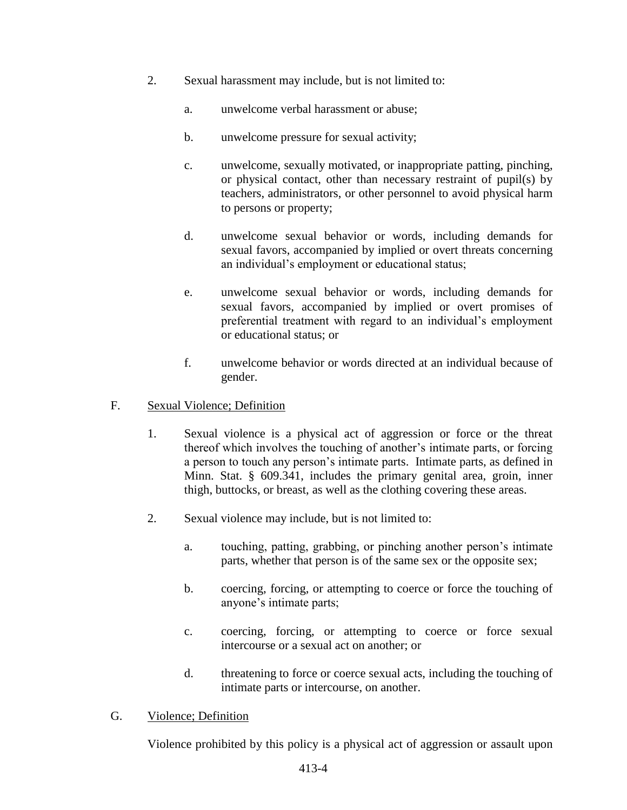- 2. Sexual harassment may include, but is not limited to:
	- a. unwelcome verbal harassment or abuse;
	- b. unwelcome pressure for sexual activity;
	- c. unwelcome, sexually motivated, or inappropriate patting, pinching, or physical contact, other than necessary restraint of pupil(s) by teachers, administrators, or other personnel to avoid physical harm to persons or property;
	- d. unwelcome sexual behavior or words, including demands for sexual favors, accompanied by implied or overt threats concerning an individual's employment or educational status;
	- e. unwelcome sexual behavior or words, including demands for sexual favors, accompanied by implied or overt promises of preferential treatment with regard to an individual's employment or educational status; or
	- f. unwelcome behavior or words directed at an individual because of gender.

### F. Sexual Violence; Definition

- 1. Sexual violence is a physical act of aggression or force or the threat thereof which involves the touching of another's intimate parts, or forcing a person to touch any person's intimate parts. Intimate parts, as defined in Minn. Stat. § 609.341, includes the primary genital area, groin, inner thigh, buttocks, or breast, as well as the clothing covering these areas.
- 2. Sexual violence may include, but is not limited to:
	- a. touching, patting, grabbing, or pinching another person's intimate parts, whether that person is of the same sex or the opposite sex;
	- b. coercing, forcing, or attempting to coerce or force the touching of anyone's intimate parts;
	- c. coercing, forcing, or attempting to coerce or force sexual intercourse or a sexual act on another; or
	- d. threatening to force or coerce sexual acts, including the touching of intimate parts or intercourse, on another.

### G. Violence; Definition

Violence prohibited by this policy is a physical act of aggression or assault upon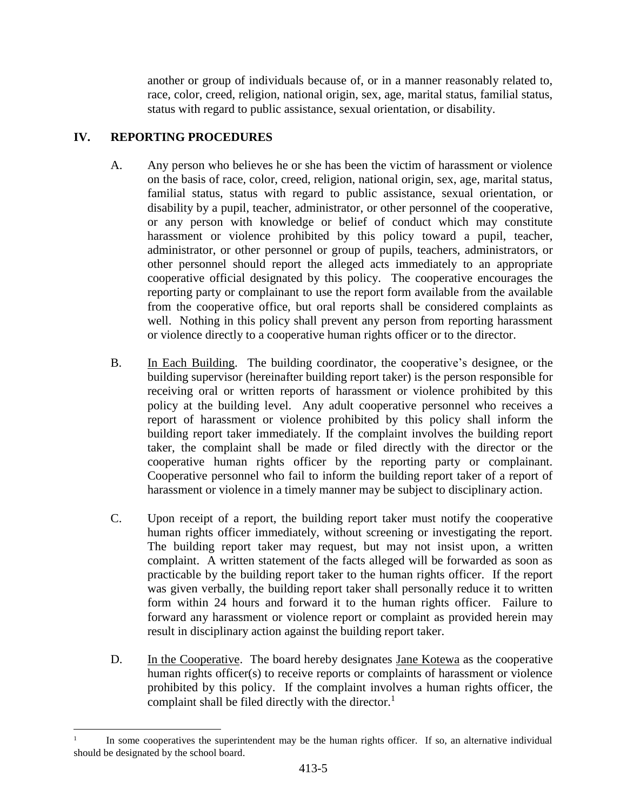another or group of individuals because of, or in a manner reasonably related to, race, color, creed, religion, national origin, sex, age, marital status, familial status, status with regard to public assistance, sexual orientation, or disability.

# **IV. REPORTING PROCEDURES**

l

- A. Any person who believes he or she has been the victim of harassment or violence on the basis of race, color, creed, religion, national origin, sex, age, marital status, familial status, status with regard to public assistance, sexual orientation, or disability by a pupil, teacher, administrator, or other personnel of the cooperative, or any person with knowledge or belief of conduct which may constitute harassment or violence prohibited by this policy toward a pupil, teacher, administrator, or other personnel or group of pupils, teachers, administrators, or other personnel should report the alleged acts immediately to an appropriate cooperative official designated by this policy. The cooperative encourages the reporting party or complainant to use the report form available from the available from the cooperative office, but oral reports shall be considered complaints as well. Nothing in this policy shall prevent any person from reporting harassment or violence directly to a cooperative human rights officer or to the director.
- B. In Each Building. The building coordinator, the cooperative's designee, or the building supervisor (hereinafter building report taker) is the person responsible for receiving oral or written reports of harassment or violence prohibited by this policy at the building level. Any adult cooperative personnel who receives a report of harassment or violence prohibited by this policy shall inform the building report taker immediately. If the complaint involves the building report taker, the complaint shall be made or filed directly with the director or the cooperative human rights officer by the reporting party or complainant. Cooperative personnel who fail to inform the building report taker of a report of harassment or violence in a timely manner may be subject to disciplinary action.
- C. Upon receipt of a report, the building report taker must notify the cooperative human rights officer immediately, without screening or investigating the report. The building report taker may request, but may not insist upon, a written complaint. A written statement of the facts alleged will be forwarded as soon as practicable by the building report taker to the human rights officer. If the report was given verbally, the building report taker shall personally reduce it to written form within 24 hours and forward it to the human rights officer. Failure to forward any harassment or violence report or complaint as provided herein may result in disciplinary action against the building report taker.
- D. In the Cooperative. The board hereby designates Jane Kotewa as the cooperative human rights officer(s) to receive reports or complaints of harassment or violence prohibited by this policy. If the complaint involves a human rights officer, the complaint shall be filed directly with the director. 1

<sup>1</sup> In some cooperatives the superintendent may be the human rights officer. If so, an alternative individual should be designated by the school board.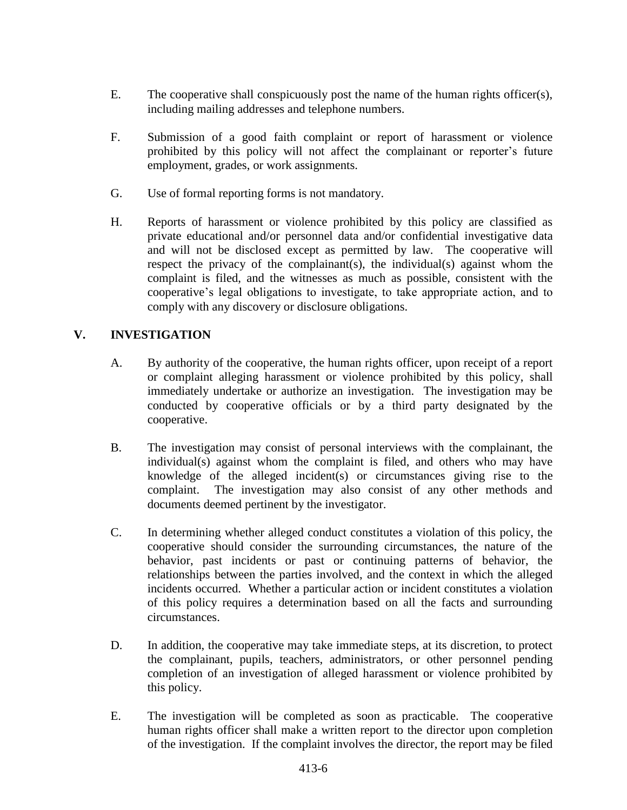- E. The cooperative shall conspicuously post the name of the human rights officer(s), including mailing addresses and telephone numbers.
- F. Submission of a good faith complaint or report of harassment or violence prohibited by this policy will not affect the complainant or reporter's future employment, grades, or work assignments.
- G. Use of formal reporting forms is not mandatory.
- H. Reports of harassment or violence prohibited by this policy are classified as private educational and/or personnel data and/or confidential investigative data and will not be disclosed except as permitted by law. The cooperative will respect the privacy of the complainant(s), the individual(s) against whom the complaint is filed, and the witnesses as much as possible, consistent with the cooperative's legal obligations to investigate, to take appropriate action, and to comply with any discovery or disclosure obligations.

# **V. INVESTIGATION**

- A. By authority of the cooperative, the human rights officer, upon receipt of a report or complaint alleging harassment or violence prohibited by this policy, shall immediately undertake or authorize an investigation. The investigation may be conducted by cooperative officials or by a third party designated by the cooperative.
- B. The investigation may consist of personal interviews with the complainant, the individual(s) against whom the complaint is filed, and others who may have knowledge of the alleged incident(s) or circumstances giving rise to the complaint. The investigation may also consist of any other methods and documents deemed pertinent by the investigator.
- C. In determining whether alleged conduct constitutes a violation of this policy, the cooperative should consider the surrounding circumstances, the nature of the behavior, past incidents or past or continuing patterns of behavior, the relationships between the parties involved, and the context in which the alleged incidents occurred. Whether a particular action or incident constitutes a violation of this policy requires a determination based on all the facts and surrounding circumstances.
- D. In addition, the cooperative may take immediate steps, at its discretion, to protect the complainant, pupils, teachers, administrators, or other personnel pending completion of an investigation of alleged harassment or violence prohibited by this policy.
- E. The investigation will be completed as soon as practicable. The cooperative human rights officer shall make a written report to the director upon completion of the investigation. If the complaint involves the director, the report may be filed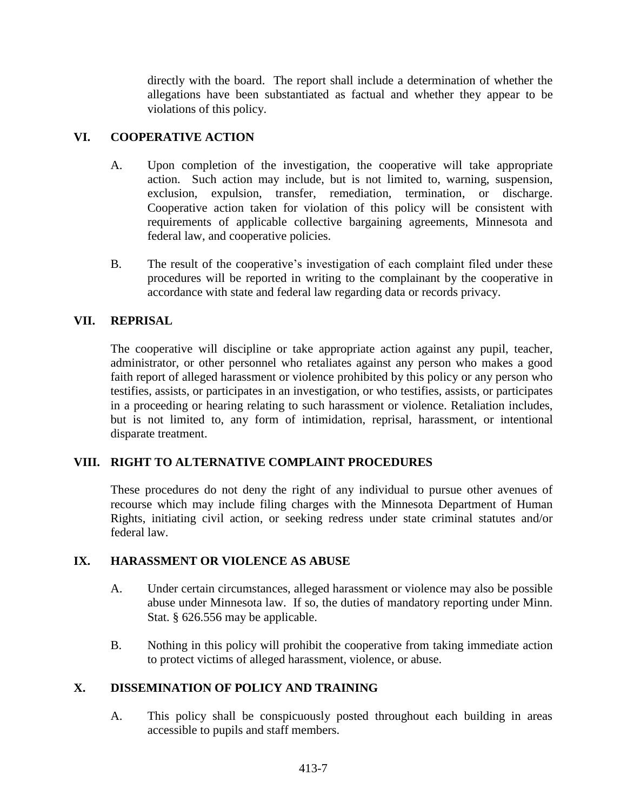directly with the board. The report shall include a determination of whether the allegations have been substantiated as factual and whether they appear to be violations of this policy.

# **VI. COOPERATIVE ACTION**

- A. Upon completion of the investigation, the cooperative will take appropriate action. Such action may include, but is not limited to, warning, suspension, exclusion, expulsion, transfer, remediation, termination, or discharge. Cooperative action taken for violation of this policy will be consistent with requirements of applicable collective bargaining agreements, Minnesota and federal law, and cooperative policies.
- B. The result of the cooperative's investigation of each complaint filed under these procedures will be reported in writing to the complainant by the cooperative in accordance with state and federal law regarding data or records privacy.

# **VII. REPRISAL**

The cooperative will discipline or take appropriate action against any pupil, teacher, administrator, or other personnel who retaliates against any person who makes a good faith report of alleged harassment or violence prohibited by this policy or any person who testifies, assists, or participates in an investigation, or who testifies, assists, or participates in a proceeding or hearing relating to such harassment or violence. Retaliation includes, but is not limited to, any form of intimidation, reprisal, harassment, or intentional disparate treatment.

### **VIII. RIGHT TO ALTERNATIVE COMPLAINT PROCEDURES**

These procedures do not deny the right of any individual to pursue other avenues of recourse which may include filing charges with the Minnesota Department of Human Rights, initiating civil action, or seeking redress under state criminal statutes and/or federal law.

### **IX. HARASSMENT OR VIOLENCE AS ABUSE**

- A. Under certain circumstances, alleged harassment or violence may also be possible abuse under Minnesota law. If so, the duties of mandatory reporting under Minn. Stat. § 626.556 may be applicable.
- B. Nothing in this policy will prohibit the cooperative from taking immediate action to protect victims of alleged harassment, violence, or abuse.

# **X. DISSEMINATION OF POLICY AND TRAINING**

A. This policy shall be conspicuously posted throughout each building in areas accessible to pupils and staff members.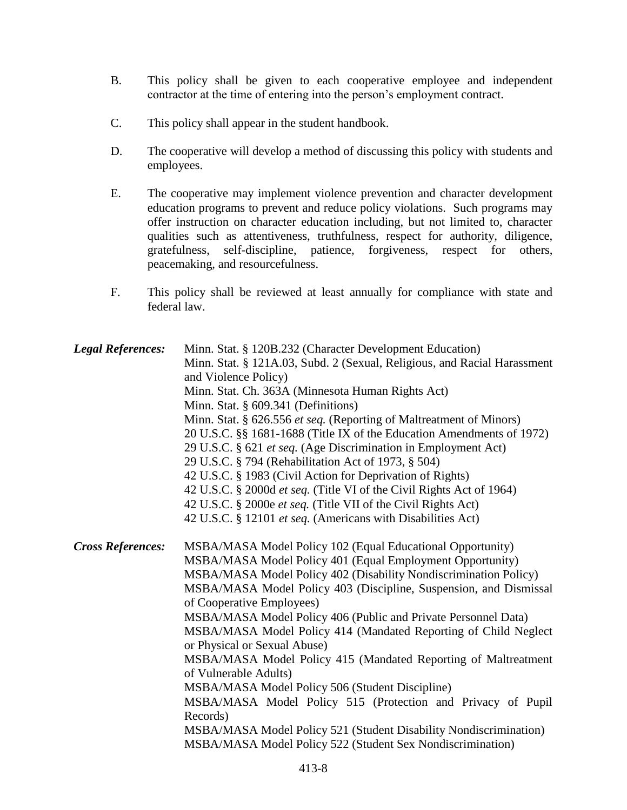- B. This policy shall be given to each cooperative employee and independent contractor at the time of entering into the person's employment contract.
- C. This policy shall appear in the student handbook.
- D. The cooperative will develop a method of discussing this policy with students and employees.
- E. The cooperative may implement violence prevention and character development education programs to prevent and reduce policy violations. Such programs may offer instruction on character education including, but not limited to, character qualities such as attentiveness, truthfulness, respect for authority, diligence, gratefulness, self-discipline, patience, forgiveness, respect for others, peacemaking, and resourcefulness.
- F. This policy shall be reviewed at least annually for compliance with state and federal law.

| <b>Legal References:</b> | Minn. Stat. § 120B.232 (Character Development Education)<br>Minn. Stat. § 121A.03, Subd. 2 (Sexual, Religious, and Racial Harassment<br>and Violence Policy)<br>Minn. Stat. Ch. 363A (Minnesota Human Rights Act)<br>Minn. Stat. § 609.341 (Definitions)<br>Minn. Stat. § 626.556 et seq. (Reporting of Maltreatment of Minors)<br>20 U.S.C. §§ 1681-1688 (Title IX of the Education Amendments of 1972)<br>29 U.S.C. § 621 et seq. (Age Discrimination in Employment Act)<br>29 U.S.C. § 794 (Rehabilitation Act of 1973, § 504)<br>42 U.S.C. § 1983 (Civil Action for Deprivation of Rights)<br>42 U.S.C. § 2000d et seq. (Title VI of the Civil Rights Act of 1964)<br>42 U.S.C. § 2000e et seq. (Title VII of the Civil Rights Act)<br>42 U.S.C. § 12101 et seq. (Americans with Disabilities Act)                         |
|--------------------------|--------------------------------------------------------------------------------------------------------------------------------------------------------------------------------------------------------------------------------------------------------------------------------------------------------------------------------------------------------------------------------------------------------------------------------------------------------------------------------------------------------------------------------------------------------------------------------------------------------------------------------------------------------------------------------------------------------------------------------------------------------------------------------------------------------------------------------|
| <b>Cross References:</b> | MSBA/MASA Model Policy 102 (Equal Educational Opportunity)<br>MSBA/MASA Model Policy 401 (Equal Employment Opportunity)<br>MSBA/MASA Model Policy 402 (Disability Nondiscrimination Policy)<br>MSBA/MASA Model Policy 403 (Discipline, Suspension, and Dismissal<br>of Cooperative Employees)<br>MSBA/MASA Model Policy 406 (Public and Private Personnel Data)<br>MSBA/MASA Model Policy 414 (Mandated Reporting of Child Neglect<br>or Physical or Sexual Abuse)<br>MSBA/MASA Model Policy 415 (Mandated Reporting of Maltreatment<br>of Vulnerable Adults)<br>MSBA/MASA Model Policy 506 (Student Discipline)<br>MSBA/MASA Model Policy 515 (Protection and Privacy of Pupil<br>Records)<br>MSBA/MASA Model Policy 521 (Student Disability Nondiscrimination)<br>MSBA/MASA Model Policy 522 (Student Sex Nondiscrimination) |